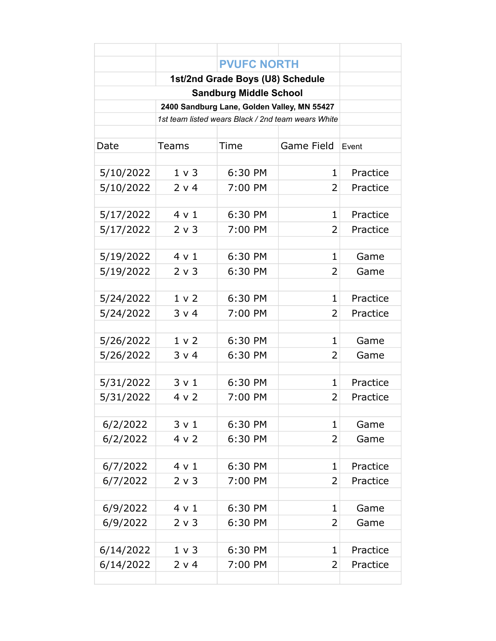|           |                | <b>PVUFC NORTH</b> |                |              |
|-----------|----------------|--------------------|----------------|--------------|
|           |                |                    |                |              |
|           |                |                    |                |              |
|           |                |                    |                |              |
|           |                |                    |                |              |
|           |                |                    |                |              |
| Date      | Teams          | Time               | Game Field     | <b>Fvent</b> |
|           |                |                    |                |              |
| 5/10/2022 | 1 v 3          | 6:30 PM            | 1              | Practice     |
| 5/10/2022 | 2 v 4          | 7:00 PM            | 2              | Practice     |
|           |                |                    |                |              |
| 5/17/2022 | $4 \vee 1$     | 6:30 PM            | $\mathbf 1$    | Practice     |
| 5/17/2022 | 2 v 3          | 7:00 PM            | 2              | Practice     |
|           |                |                    |                |              |
| 5/19/2022 | 4 v 1          | 6:30 PM            | $\mathbf{1}$   | Game         |
| 5/19/2022 | 2 v 3          | 6:30 PM            | 2              | Game         |
|           |                |                    |                |              |
| 5/24/2022 | 1 <sub>v</sub> | 6:30 PM            | $\mathbf 1$    | Practice     |
| 5/24/2022 | 3 v 4          | 7:00 PM            | 2              | Practice     |
|           |                |                    |                |              |
| 5/26/2022 | 1 <sub>v</sub> | 6:30 PM            | 1              | Game         |
| 5/26/2022 | 3 v 4          | 6:30 PM            | 2              | Game         |
|           |                |                    |                |              |
| 5/31/2022 | 3 v 1          | 6:30 PM            | $\mathbf{1}$   | Practice     |
| 5/31/2022 | 4 v 2          | 7:00 PM            | $\overline{2}$ | Practice     |
|           |                |                    |                |              |
| 6/2/2022  | 3 v 1          | 6:30 PM            | 1              | Game         |
| 6/2/2022  | 4 v 2          | 6:30 PM            | 2              | Game         |
|           |                |                    |                |              |
| 6/7/2022  | $4 \vee 1$     | 6:30 PM            | $\mathbf{1}$   | Practice     |
| 6/7/2022  | 2 v 3          | 7:00 PM            | 2              | Practice     |
|           |                |                    |                |              |
| 6/9/2022  | 4 v 1          | 6:30 PM            | 1              | Game         |
| 6/9/2022  | $2 \vee 3$     | 6:30 PM            | 2              | Game         |
|           |                |                    | $\mathbf{1}$   |              |
| 6/14/2022 | $1 \vee 3$     | 6:30 PM            |                | Practice     |
| 6/14/2022 | 2 v 4          | 7:00 PM            | 2              | Practice     |
|           |                |                    |                |              |